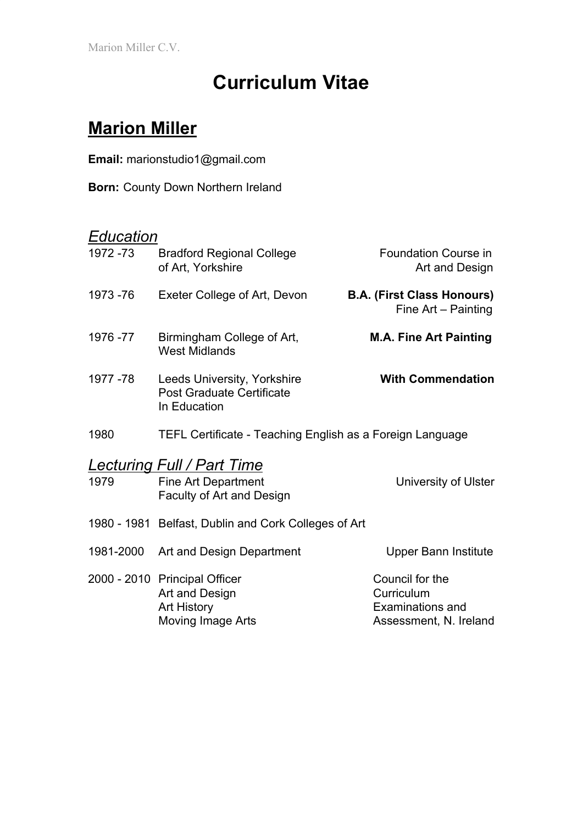Marion Miller C.V.

# **Curriculum Vitae**

## **Marion Miller**

**Email:** marionstudio1@gmail.com

**Born:** County Down Northern Ireland

## *Education*

| 1972 -73  | <b>Bradford Regional College</b><br>of Art, Yorkshire                                 | <b>Foundation Course in</b><br>Art and Design                                      |
|-----------|---------------------------------------------------------------------------------------|------------------------------------------------------------------------------------|
| 1973 - 76 | Exeter College of Art, Devon                                                          | <b>B.A. (First Class Honours)</b><br>Fine Art - Painting                           |
| 1976 - 77 | Birmingham College of Art,<br><b>West Midlands</b>                                    | <b>M.A. Fine Art Painting</b>                                                      |
| 1977 - 78 | Leeds University, Yorkshire<br><b>Post Graduate Certificate</b><br>In Education       | <b>With Commendation</b>                                                           |
| 1980      | TEFL Certificate - Teaching English as a Foreign Language                             |                                                                                    |
| 1979      | Lecturing Full / Part Time<br><b>Fine Art Department</b><br>Faculty of Art and Design | University of Ulster                                                               |
|           | 1980 - 1981 Belfast, Dublin and Cork Colleges of Art                                  |                                                                                    |
| 1981-2000 | Art and Design Department                                                             | <b>Upper Bann Institute</b>                                                        |
|           | 2000 - 2010 Principal Officer<br>Art and Design<br>Art History<br>Moving Image Arts   | Council for the<br>Curriculum<br><b>Examinations and</b><br>Assessment, N. Ireland |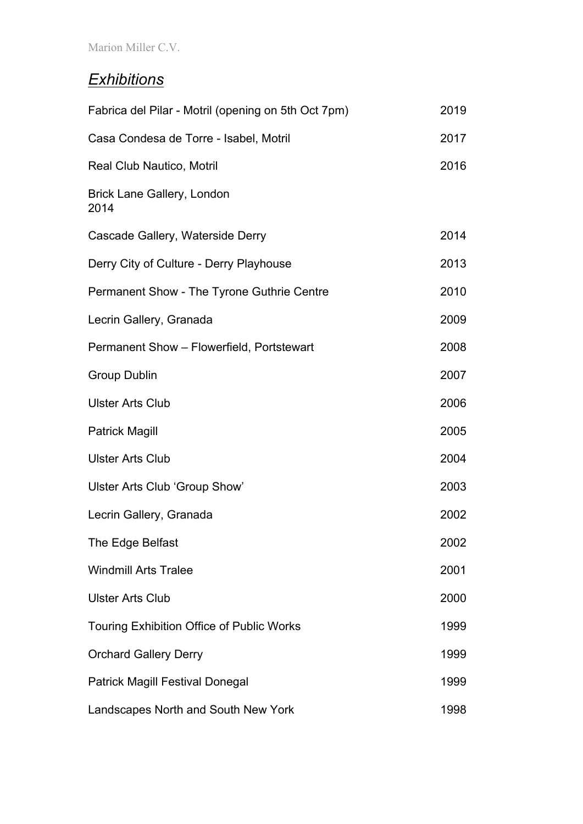### *Exhibitions*

| Fabrica del Pilar - Motril (opening on 5th Oct 7pm) | 2019 |
|-----------------------------------------------------|------|
| Casa Condesa de Torre - Isabel, Motril              | 2017 |
| Real Club Nautico, Motril                           | 2016 |
| Brick Lane Gallery, London<br>2014                  |      |
| Cascade Gallery, Waterside Derry                    | 2014 |
| Derry City of Culture - Derry Playhouse             | 2013 |
| Permanent Show - The Tyrone Guthrie Centre          | 2010 |
| Lecrin Gallery, Granada                             | 2009 |
| Permanent Show - Flowerfield, Portstewart           | 2008 |
| <b>Group Dublin</b>                                 | 2007 |
| <b>Ulster Arts Club</b>                             | 2006 |
| <b>Patrick Magill</b>                               | 2005 |
| <b>Ulster Arts Club</b>                             | 2004 |
| Ulster Arts Club 'Group Show'                       | 2003 |
| Lecrin Gallery, Granada                             | 2002 |
| The Edge Belfast                                    | 2002 |
| <b>Windmill Arts Tralee</b>                         | 2001 |
| <b>Ulster Arts Club</b>                             | 2000 |
| <b>Touring Exhibition Office of Public Works</b>    | 1999 |
| <b>Orchard Gallery Derry</b>                        | 1999 |
| <b>Patrick Magill Festival Donegal</b>              | 1999 |
| Landscapes North and South New York                 | 1998 |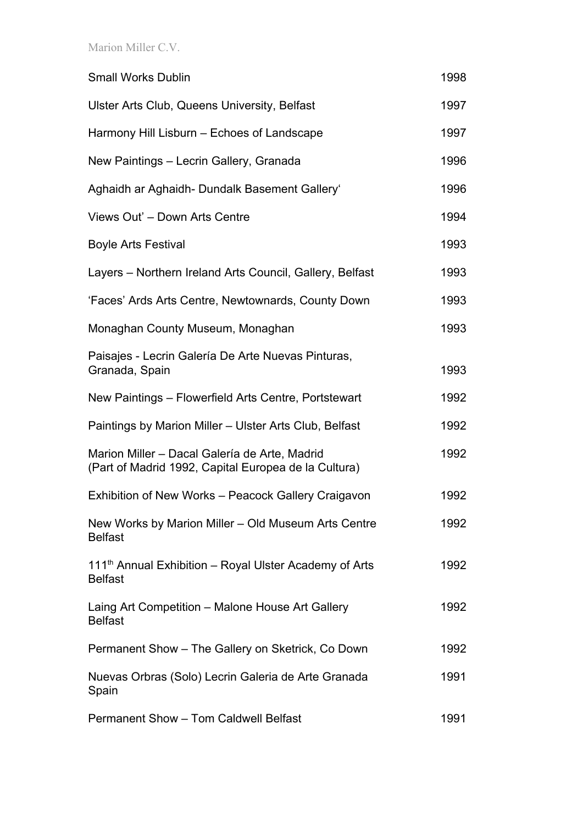Marion Miller C.V.

| <b>Small Works Dublin</b>                                                                             | 1998 |
|-------------------------------------------------------------------------------------------------------|------|
| <b>Ulster Arts Club, Queens University, Belfast</b>                                                   | 1997 |
| Harmony Hill Lisburn – Echoes of Landscape                                                            | 1997 |
| New Paintings - Lecrin Gallery, Granada                                                               | 1996 |
| Aghaidh ar Aghaidh- Dundalk Basement Gallery'                                                         | 1996 |
| Views Out' - Down Arts Centre                                                                         | 1994 |
| <b>Boyle Arts Festival</b>                                                                            | 1993 |
| Layers - Northern Ireland Arts Council, Gallery, Belfast                                              | 1993 |
| 'Faces' Ards Arts Centre, Newtownards, County Down                                                    | 1993 |
| Monaghan County Museum, Monaghan                                                                      | 1993 |
| Paisajes - Lecrin Galería De Arte Nuevas Pinturas,<br>Granada, Spain                                  | 1993 |
| New Paintings - Flowerfield Arts Centre, Portstewart                                                  | 1992 |
| Paintings by Marion Miller - Ulster Arts Club, Belfast                                                | 1992 |
| Marion Miller - Dacal Galería de Arte, Madrid<br>(Part of Madrid 1992, Capital Europea de la Cultura) | 1992 |
| Exhibition of New Works - Peacock Gallery Craigavon                                                   | 1992 |
| New Works by Marion Miller - Old Museum Arts Centre<br><b>Belfast</b>                                 | 1992 |
| 111 <sup>th</sup> Annual Exhibition - Royal Ulster Academy of Arts<br><b>Belfast</b>                  | 1992 |
| Laing Art Competition - Malone House Art Gallery<br><b>Belfast</b>                                    | 1992 |
| Permanent Show - The Gallery on Sketrick, Co Down                                                     | 1992 |
| Nuevas Orbras (Solo) Lecrin Galeria de Arte Granada<br>Spain                                          | 1991 |
| <b>Permanent Show - Tom Caldwell Belfast</b>                                                          | 1991 |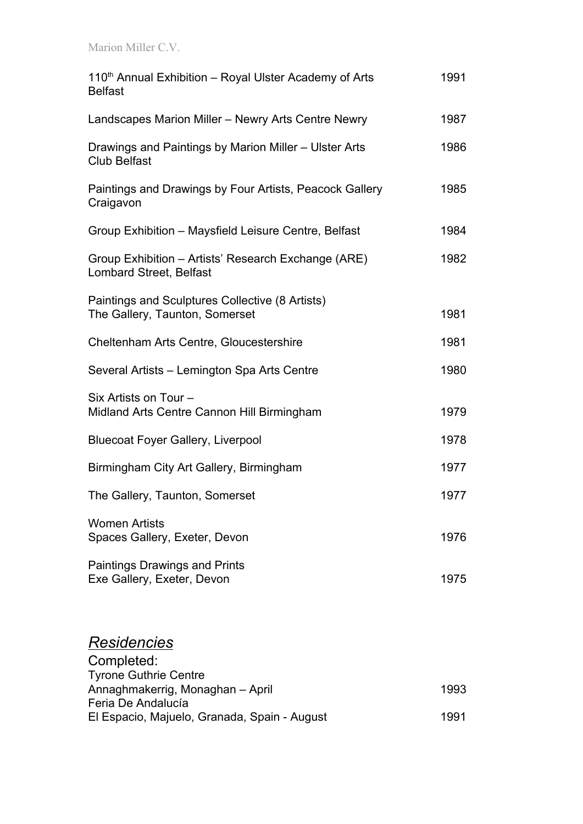Marion Miller C.V.

| 110 <sup>th</sup> Annual Exhibition – Royal Ulster Academy of Arts<br><b>Belfast</b>  | 1991 |
|---------------------------------------------------------------------------------------|------|
| Landscapes Marion Miller - Newry Arts Centre Newry                                    | 1987 |
| Drawings and Paintings by Marion Miller - Ulster Arts<br><b>Club Belfast</b>          | 1986 |
| Paintings and Drawings by Four Artists, Peacock Gallery<br>Craigavon                  | 1985 |
| Group Exhibition - Maysfield Leisure Centre, Belfast                                  | 1984 |
| Group Exhibition – Artists' Research Exchange (ARE)<br><b>Lombard Street, Belfast</b> | 1982 |
| Paintings and Sculptures Collective (8 Artists)<br>The Gallery, Taunton, Somerset     | 1981 |
| Cheltenham Arts Centre, Gloucestershire                                               | 1981 |
| Several Artists – Lemington Spa Arts Centre                                           | 1980 |
| Six Artists on Tour -<br>Midland Arts Centre Cannon Hill Birmingham                   | 1979 |
| <b>Bluecoat Foyer Gallery, Liverpool</b>                                              | 1978 |
| Birmingham City Art Gallery, Birmingham                                               | 1977 |
| The Gallery, Taunton, Somerset                                                        | 1977 |
| <b>Women Artists</b><br>Spaces Gallery, Exeter, Devon                                 | 1976 |
| <b>Paintings Drawings and Prints</b><br>Exe Gallery, Exeter, Devon                    | 1975 |

#### *Residencies*

| Completed:                                   |      |
|----------------------------------------------|------|
| <b>Tyrone Guthrie Centre</b>                 |      |
| Annaghmakerrig, Monaghan - April             | 1993 |
| Feria De Andalucía                           |      |
| El Espacio, Majuelo, Granada, Spain - August | 1991 |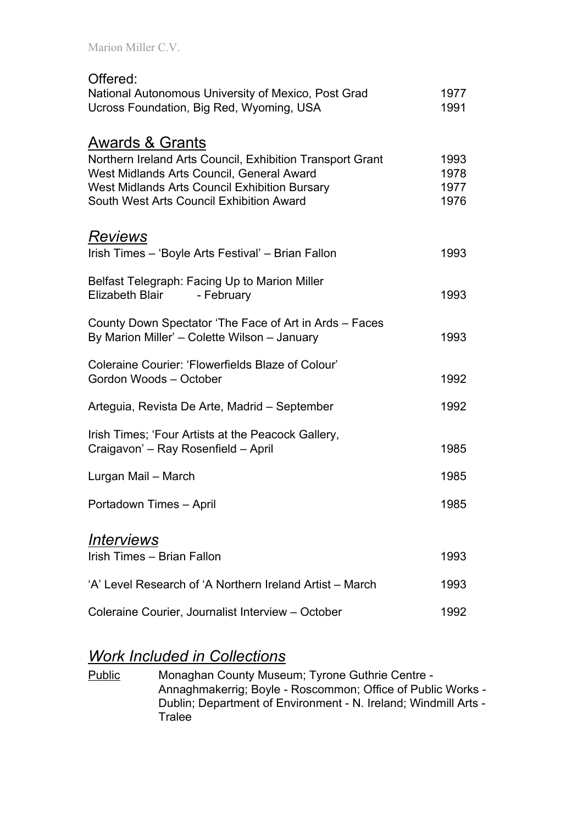| Offered:<br>National Autonomous University of Mexico, Post Grad<br>Ucross Foundation, Big Red, Wyoming, USA                                                                                                                       | 1977<br>1991                 |
|-----------------------------------------------------------------------------------------------------------------------------------------------------------------------------------------------------------------------------------|------------------------------|
| <u>Awards &amp; Grants</u><br>Northern Ireland Arts Council, Exhibition Transport Grant<br>West Midlands Arts Council, General Award<br>West Midlands Arts Council Exhibition Bursary<br>South West Arts Council Exhibition Award | 1993<br>1978<br>1977<br>1976 |
| <u>Reviews</u><br>Irish Times - 'Boyle Arts Festival' - Brian Fallon                                                                                                                                                              | 1993                         |
| Belfast Telegraph: Facing Up to Marion Miller<br>Elizabeth Blair - February                                                                                                                                                       | 1993                         |
| County Down Spectator 'The Face of Art in Ards - Faces<br>By Marion Miller' - Colette Wilson - January                                                                                                                            | 1993                         |
| Coleraine Courier: 'Flowerfields Blaze of Colour'<br>Gordon Woods - October                                                                                                                                                       | 1992                         |
| Arteguia, Revista De Arte, Madrid – September                                                                                                                                                                                     | 1992                         |
| Irish Times; 'Four Artists at the Peacock Gallery,<br>Craigavon' – Ray Rosenfield – April                                                                                                                                         | 1985                         |
| Lurgan Mail - March                                                                                                                                                                                                               | 1985                         |
| Portadown Times - April                                                                                                                                                                                                           | 1985                         |
| <u> Interviews</u>                                                                                                                                                                                                                |                              |
| Irish Times - Brian Fallon                                                                                                                                                                                                        | 1993                         |
| 'A' Level Research of 'A Northern Ireland Artist – March                                                                                                                                                                          | 1993                         |
|                                                                                                                                                                                                                                   |                              |

Coleraine Courier, Journalist Interview – October 1992

#### *Work Included in Collections*

Public Monaghan County Museum; Tyrone Guthrie Centre -Annaghmakerrig; Boyle - Roscommon; Office of Public Works - Dublin; Department of Environment - N. Ireland; Windmill Arts - **Tralee**